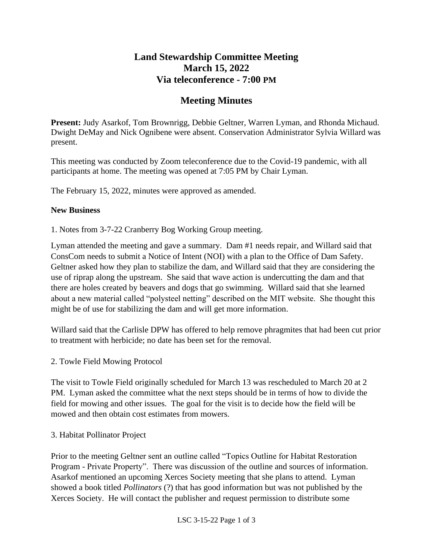# **Land Stewardship Committee Meeting March 15, 2022 Via teleconference - 7:00 PM**

# **Meeting Minutes**

**Present:** Judy Asarkof, Tom Brownrigg, Debbie Geltner, Warren Lyman, and Rhonda Michaud. Dwight DeMay and Nick Ognibene were absent. Conservation Administrator Sylvia Willard was present.

This meeting was conducted by Zoom teleconference due to the Covid-19 pandemic, with all participants at home. The meeting was opened at 7:05 PM by Chair Lyman.

The February 15, 2022, minutes were approved as amended.

#### **New Business**

1. Notes from 3-7-22 Cranberry Bog Working Group meeting.

Lyman attended the meeting and gave a summary. Dam #1 needs repair, and Willard said that ConsCom needs to submit a Notice of Intent (NOI) with a plan to the Office of Dam Safety. Geltner asked how they plan to stabilize the dam, and Willard said that they are considering the use of riprap along the upstream. She said that wave action is undercutting the dam and that there are holes created by beavers and dogs that go swimming. Willard said that she learned about a new material called "polysteel netting" described on the MIT website. She thought this might be of use for stabilizing the dam and will get more information.

Willard said that the Carlisle DPW has offered to help remove phragmites that had been cut prior to treatment with herbicide; no date has been set for the removal.

### 2. Towle Field Mowing Protocol

The visit to Towle Field originally scheduled for March 13 was rescheduled to March 20 at 2 PM. Lyman asked the committee what the next steps should be in terms of how to divide the field for mowing and other issues. The goal for the visit is to decide how the field will be mowed and then obtain cost estimates from mowers.

### 3. Habitat Pollinator Project

Prior to the meeting Geltner sent an outline called "Topics Outline for Habitat Restoration Program - Private Property". There was discussion of the outline and sources of information. Asarkof mentioned an upcoming Xerces Society meeting that she plans to attend. Lyman showed a book titled *Pollinators* (?) that has good information but was not published by the Xerces Society. He will contact the publisher and request permission to distribute some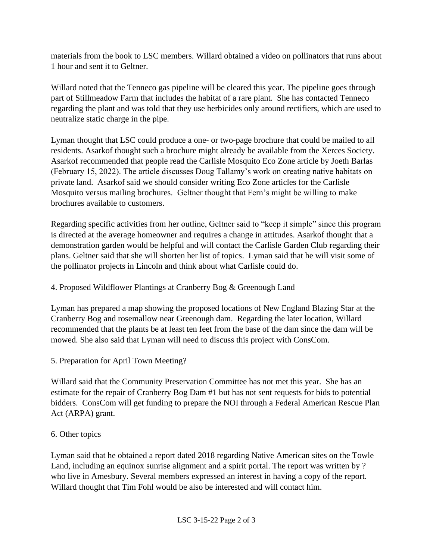materials from the book to LSC members. Willard obtained a video on pollinators that runs about 1 hour and sent it to Geltner.

Willard noted that the Tenneco gas pipeline will be cleared this year. The pipeline goes through part of Stillmeadow Farm that includes the habitat of a rare plant. She has contacted Tenneco regarding the plant and was told that they use herbicides only around rectifiers, which are used to neutralize static charge in the pipe.

Lyman thought that LSC could produce a one- or two-page brochure that could be mailed to all residents. Asarkof thought such a brochure might already be available from the Xerces Society. Asarkof recommended that people read the Carlisle Mosquito Eco Zone article by Joeth Barlas (February 15, 2022). The article discusses Doug Tallamy's work on creating native habitats on private land. Asarkof said we should consider writing Eco Zone articles for the Carlisle Mosquito versus mailing brochures. Geltner thought that Fern's might be willing to make brochures available to customers.

Regarding specific activities from her outline, Geltner said to "keep it simple" since this program is directed at the average homeowner and requires a change in attitudes. Asarkof thought that a demonstration garden would be helpful and will contact the Carlisle Garden Club regarding their plans. Geltner said that she will shorten her list of topics. Lyman said that he will visit some of the pollinator projects in Lincoln and think about what Carlisle could do.

## 4. Proposed Wildflower Plantings at Cranberry Bog & Greenough Land

Lyman has prepared a map showing the proposed locations of New England Blazing Star at the Cranberry Bog and rosemallow near Greenough dam. Regarding the later location, Willard recommended that the plants be at least ten feet from the base of the dam since the dam will be mowed. She also said that Lyman will need to discuss this project with ConsCom.

5. Preparation for April Town Meeting?

Willard said that the Community Preservation Committee has not met this year. She has an estimate for the repair of Cranberry Bog Dam #1 but has not sent requests for bids to potential bidders. ConsCom will get funding to prepare the NOI through a Federal American Rescue Plan Act (ARPA) grant.

### 6. Other topics

Lyman said that he obtained a report dated 2018 regarding Native American sites on the Towle Land, including an equinox sunrise alignment and a spirit portal. The report was written by ? who live in Amesbury. Several members expressed an interest in having a copy of the report. Willard thought that Tim Fohl would be also be interested and will contact him.